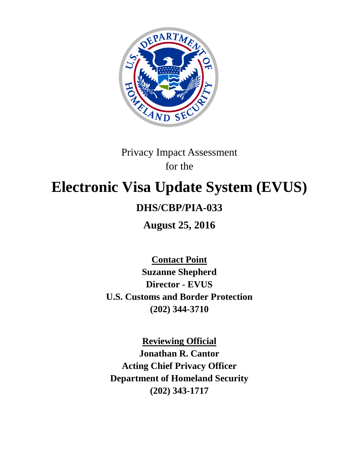

# Privacy Impact Assessment for the

# **Electronic Visa Update System (EVUS)**

## **DHS/CBP/PIA-033**

**August 25, 2016**

**Contact Point Suzanne Shepherd Director - EVUS U.S. Customs and Border Protection (202) 344-3710**

**Reviewing Official Jonathan R. Cantor Acting Chief Privacy Officer Department of Homeland Security (202) 343-1717**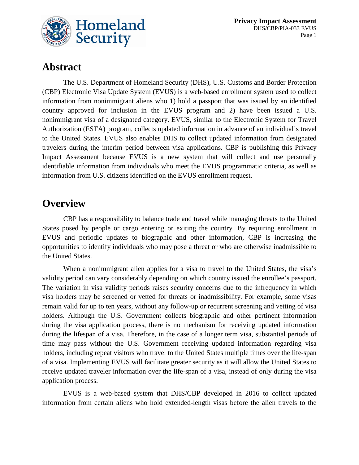

## **Abstract**

The U.S. Department of Homeland Security (DHS), U.S. Customs and Border Protection (CBP) Electronic Visa Update System (EVUS) is a web-based enrollment system used to collect information from nonimmigrant aliens who 1) hold a passport that was issued by an identified country approved for inclusion in the EVUS program and 2) have been issued a U.S. nonimmigrant visa of a designated category. EVUS, similar to the Electronic System for Travel Authorization (ESTA) program, collects updated information in advance of an individual's travel to the United States. EVUS also enables DHS to collect updated information from designated travelers during the interim period between visa applications. CBP is publishing this Privacy Impact Assessment because EVUS is a new system that will collect and use personally identifiable information from individuals who meet the EVUS programmatic criteria, as well as information from U.S. citizens identified on the EVUS enrollment request.

## **Overview**

CBP has a responsibility to balance trade and travel while managing threats to the United States posed by people or cargo entering or exiting the country. By requiring enrollment in EVUS and periodic updates to biographic and other information, CBP is increasing the opportunities to identify individuals who may pose a threat or who are otherwise inadmissible to the United States.

When a nonimmigrant alien applies for a visa to travel to the United States, the visa's validity period can vary considerably depending on which country issued the enrollee's passport. The variation in visa validity periods raises security concerns due to the infrequency in which visa holders may be screened or vetted for threats or inadmissibility. For example, some visas remain valid for up to ten years, without any follow-up or recurrent screening and vetting of visa holders. Although the U.S. Government collects biographic and other pertinent information during the visa application process, there is no mechanism for receiving updated information during the lifespan of a visa. Therefore, in the case of a longer term visa, substantial periods of time may pass without the U.S. Government receiving updated information regarding visa holders, including repeat visitors who travel to the United States multiple times over the life-span of a visa. Implementing EVUS will facilitate greater security as it will allow the United States to receive updated traveler information over the life-span of a visa, instead of only during the visa application process.

EVUS is a web-based system that DHS/CBP developed in 2016 to collect updated information from certain aliens who hold extended-length visas before the alien travels to the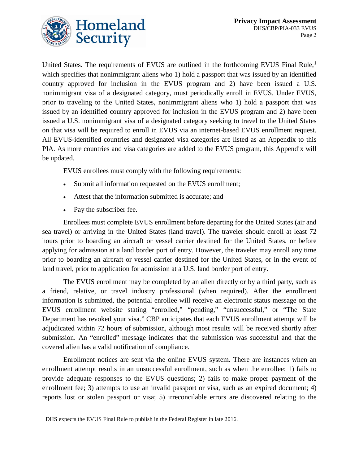

United States. The requirements of EVUS are outlined in the forthcoming EVUS Final Rule,<sup>[1](#page-2-0)</sup> which specifies that nonimmigrant aliens who 1) hold a passport that was issued by an identified country approved for inclusion in the EVUS program and 2) have been issued a U.S. nonimmigrant visa of a designated category, must periodically enroll in EVUS. Under EVUS, prior to traveling to the United States, nonimmigrant aliens who 1) hold a passport that was issued by an identified country approved for inclusion in the EVUS program and 2) have been issued a U.S. nonimmigrant visa of a designated category seeking to travel to the United States on that visa will be required to enroll in EVUS via an internet-based EVUS enrollment request. All EVUS-identified countries and designated visa categories are listed as an Appendix to this PIA. As more countries and visa categories are added to the EVUS program, this Appendix will be updated.

EVUS enrollees must comply with the following requirements:

- Submit all information requested on the EVUS enrollment;
- Attest that the information submitted is accurate; and
- Pay the subscriber fee.

Enrollees must complete EVUS enrollment before departing for the United States (air and sea travel) or arriving in the United States (land travel). The traveler should enroll at least 72 hours prior to boarding an aircraft or vessel carrier destined for the United States, or before applying for admission at a land border port of entry. However, the traveler may enroll any time prior to boarding an aircraft or vessel carrier destined for the United States, or in the event of land travel, prior to application for admission at a U.S. land border port of entry.

The EVUS enrollment may be completed by an alien directly or by a third party, such as a friend, relative, or travel industry professional (when required). After the enrollment information is submitted, the potential enrollee will receive an electronic status message on the EVUS enrollment website stating "enrolled," "pending," "unsuccessful," or "The State Department has revoked your visa." CBP anticipates that each EVUS enrollment attempt will be adjudicated within 72 hours of submission, although most results will be received shortly after submission. An "enrolled" message indicates that the submission was successful and that the covered alien has a valid notification of compliance.

Enrollment notices are sent via the online EVUS system. There are instances when an enrollment attempt results in an unsuccessful enrollment, such as when the enrollee: 1) fails to provide adequate responses to the EVUS questions; 2) fails to make proper payment of the enrollment fee; 3) attempts to use an invalid passport or visa, such as an expired document; 4) reports lost or stolen passport or visa; 5) irreconcilable errors are discovered relating to the

<span id="page-2-0"></span><sup>&</sup>lt;sup>1</sup> DHS expects the EVUS Final Rule to publish in the Federal Register in late 2016.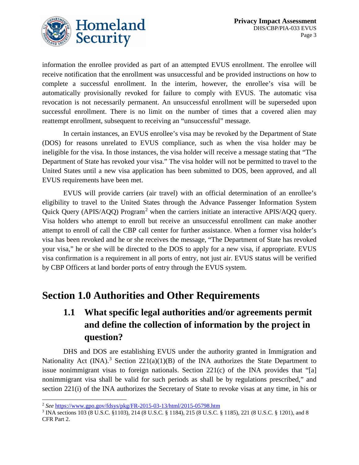

information the enrollee provided as part of an attempted EVUS enrollment. The enrollee will receive notification that the enrollment was unsuccessful and be provided instructions on how to complete a successful enrollment. In the interim, however, the enrollee's visa will be automatically provisionally revoked for failure to comply with EVUS. The automatic visa revocation is not necessarily permanent. An unsuccessful enrollment will be superseded upon successful enrollment. There is no limit on the number of times that a covered alien may reattempt enrollment, subsequent to receiving an "unsuccessful" message.

In certain instances, an EVUS enrollee's visa may be revoked by the Department of State (DOS) for reasons unrelated to EVUS compliance, such as when the visa holder may be ineligible for the visa. In those instances, the visa holder will receive a message stating that "The Department of State has revoked your visa." The visa holder will not be permitted to travel to the United States until a new visa application has been submitted to DOS, been approved, and all EVUS requirements have been met.

EVUS will provide carriers (air travel) with an official determination of an enrollee's eligibility to travel to the United States through the Advance Passenger Information System Quick Query (APIS/AQQ) Program<sup>[2](#page-3-0)</sup> when the carriers initiate an interactive APIS/AQQ query. Visa holders who attempt to enroll but receive an unsuccessful enrollment can make another attempt to enroll of call the CBP call center for further assistance. When a former visa holder's visa has been revoked and he or she receives the message, "The Department of State has revoked your visa," he or she will be directed to the DOS to apply for a new visa, if appropriate. EVUS visa confirmation is a requirement in all ports of entry, not just air. EVUS status will be verified by CBP Officers at land border ports of entry through the EVUS system.

## **Section 1.0 Authorities and Other Requirements**

## **1.1 What specific legal authorities and/or agreements permit and define the collection of information by the project in question?**

DHS and DOS are establishing EVUS under the authority granted in Immigration and Nationality Act (INA).<sup>[3](#page-3-1)</sup> Section 221(a)(1)(B) of the INA authorizes the State Department to issue nonimmigrant visas to foreign nationals. Section  $221(c)$  of the INA provides that "[a] nonimmigrant visa shall be valid for such periods as shall be by regulations prescribed," and section 221(i) of the INA authorizes the Secretary of State to revoke visas at any time, in his or

<span id="page-3-0"></span> <sup>2</sup> *See* <https://www.gpo.gov/fdsys/pkg/FR-2015-03-13/html/2015-05798.htm>

<span id="page-3-1"></span><sup>3</sup> INA sections 103 (8 U.S.C. §1103), 214 (8 U.S.C. § 1184), 215 (8 U.S.C. § 1185), 221 (8 U.S.C. § 1201), and 8 CFR Part 2.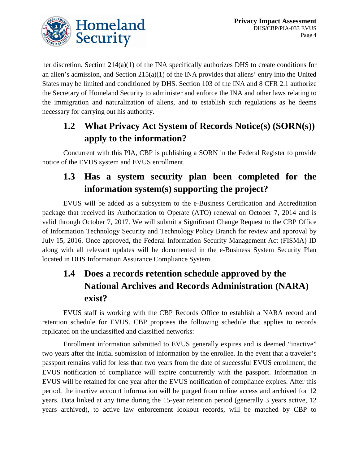

her discretion. Section 214(a)(1) of the INA specifically authorizes DHS to create conditions for an alien's admission, and Section 215(a)(1) of the INA provides that aliens' entry into the United States may be limited and conditioned by DHS. Section 103 of the INA and 8 CFR 2.1 authorize the Secretary of Homeland Security to administer and enforce the INA and other laws relating to the immigration and naturalization of aliens, and to establish such regulations as he deems necessary for carrying out his authority.

## **1.2 What Privacy Act System of Records Notice(s) (SORN(s)) apply to the information?**

Concurrent with this PIA, CBP is publishing a SORN in the Federal Register to provide notice of the EVUS system and EVUS enrollment.

## **1.3 Has a system security plan been completed for the information system(s) supporting the project?**

EVUS will be added as a subsystem to the e-Business Certification and Accreditation package that received its Authorization to Operate (ATO) renewal on October 7, 2014 and is valid through October 7, 2017. We will submit a Significant Change Request to the CBP Office of Information Technology Security and Technology Policy Branch for review and approval by July 15, 2016. Once approved, the Federal Information Security Management Act (FISMA) ID along with all relevant updates will be documented in the e-Business System Security Plan located in DHS Information Assurance Compliance System.

## **1.4 Does a records retention schedule approved by the National Archives and Records Administration (NARA) exist?**

EVUS staff is working with the CBP Records Office to establish a NARA record and retention schedule for EVUS. CBP proposes the following schedule that applies to records replicated on the unclassified and classified networks:

Enrollment information submitted to EVUS generally expires and is deemed "inactive" two years after the initial submission of information by the enrollee. In the event that a traveler's passport remains valid for less than two years from the date of successful EVUS enrollment, the EVUS notification of compliance will expire concurrently with the passport. Information in EVUS will be retained for one year after the EVUS notification of compliance expires. After this period, the inactive account information will be purged from online access and archived for 12 years. Data linked at any time during the 15-year retention period (generally 3 years active, 12 years archived), to active law enforcement lookout records, will be matched by CBP to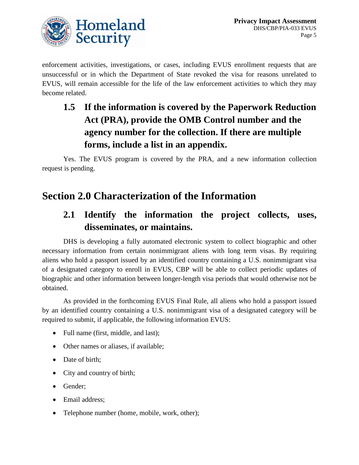

enforcement activities, investigations, or cases, including EVUS enrollment requests that are unsuccessful or in which the Department of State revoked the visa for reasons unrelated to EVUS, will remain accessible for the life of the law enforcement activities to which they may become related.

## **1.5 If the information is covered by the Paperwork Reduction Act (PRA), provide the OMB Control number and the agency number for the collection. If there are multiple forms, include a list in an appendix.**

Yes. The EVUS program is covered by the PRA, and a new information collection request is pending.

## **Section 2.0 Characterization of the Information**

## **2.1 Identify the information the project collects, uses, disseminates, or maintains.**

DHS is developing a fully automated electronic system to collect biographic and other necessary information from certain nonimmigrant aliens with long term visas. By requiring aliens who hold a passport issued by an identified country containing a U.S. nonimmigrant visa of a designated category to enroll in EVUS, CBP will be able to collect periodic updates of biographic and other information between longer-length visa periods that would otherwise not be obtained.

As provided in the forthcoming EVUS Final Rule, all aliens who hold a passport issued by an identified country containing a U.S. nonimmigrant visa of a designated category will be required to submit, if applicable, the following information EVUS:

- Full name (first, middle, and last);
- Other names or aliases, if available;
- Date of birth;
- City and country of birth;
- Gender:
- Email address;
- Telephone number (home, mobile, work, other);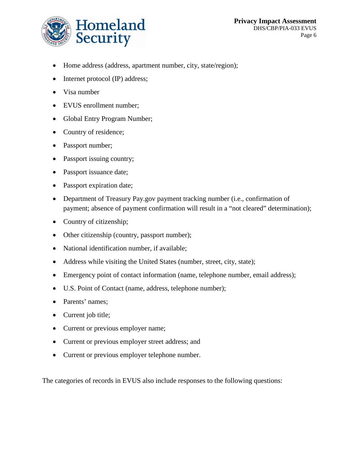

- Home address (address, apartment number, city, state/region);
- Internet protocol (IP) address;
- Visa number
- EVUS enrollment number;
- Global Entry Program Number;
- Country of residence;
- Passport number;
- Passport issuing country;
- Passport issuance date;
- Passport expiration date;
- Department of Treasury Pay.gov payment tracking number (i.e., confirmation of payment; absence of payment confirmation will result in a "not cleared" determination);
- Country of citizenship;
- Other citizenship (country, passport number);
- National identification number, if available;
- Address while visiting the United States (number, street, city, state);
- Emergency point of contact information (name, telephone number, email address);
- U.S. Point of Contact (name, address, telephone number);
- Parents' names;
- Current job title;
- Current or previous employer name;
- Current or previous employer street address; and
- Current or previous employer telephone number.

The categories of records in EVUS also include responses to the following questions: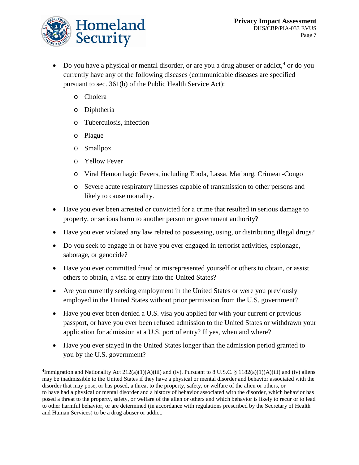

- Do you have a physical or mental disorder, or are you a drug abuser or addict,  $4$  or do you currently have any of the following diseases (communicable diseases are specified pursuant to sec. 361(b) of the Public Health Service Act):
	- o Cholera
	- o Diphtheria
	- o Tuberculosis, infection
	- o Plague
	- o Smallpox
	- o Yellow Fever
	- o Viral Hemorrhagic Fevers, including Ebola, Lassa, Marburg, Crimean-Congo
	- o Severe acute respiratory illnesses capable of transmission to other persons and likely to cause mortality.
- Have you ever been arrested or convicted for a crime that resulted in serious damage to property, or serious harm to another person or government authority?
- Have you ever violated any law related to possessing, using, or distributing illegal drugs?
- Do you seek to engage in or have you ever engaged in terrorist activities, espionage, sabotage, or genocide?
- Have you ever committed fraud or misrepresented yourself or others to obtain, or assist others to obtain, a visa or entry into the United States?
- Are you currently seeking employment in the United States or were you previously employed in the United States without prior permission from the U.S. government?
- Have you ever been denied a U.S. visa you applied for with your current or previous passport, or have you ever been refused admission to the United States or withdrawn your application for admission at a U.S. port of entry? If yes, when and where?
- Have you ever stayed in the United States longer than the admission period granted to you by the U.S. government?

<span id="page-7-0"></span> <sup>4</sup> <sup>4</sup>Immigration and Nationality Act  $212(a)(1)(A)(iii)$  and (iv). Pursuant to 8 U.S.C. § 1182(a)(1)(A)(iii) and (iv) aliens may be inadmissible to the United States if they have a physical or mental disorder and behavior associated with the disorder that may pose, or has posed, a threat to the property, safety, or welfare of the alien or others, or to have had a physical or mental disorder and a history of behavior associated with the disorder, which behavior has posed a threat to the property, safety, or welfare of the alien or others and which behavior is likely to recur or to lead to other harmful behavior, or are determined (in accordance with regulations prescribed by the Secretary of Health and Human Services) to be a drug abuser or addict.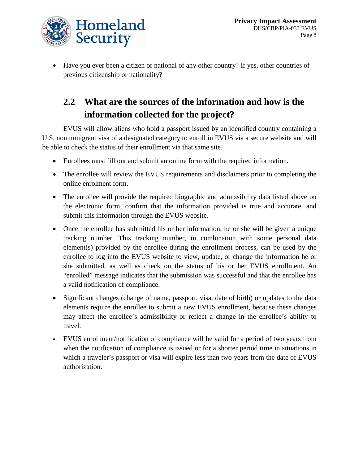

• Have you ever been a citizen or national of any other country? If yes, other countries of previous citizenship or nationality?

## **2.2 What are the sources of the information and how is the information collected for the project?**

EVUS will allow aliens who hold a passport issued by an identified country containing a U.S. nonimmigrant visa of a designated category to enroll in EVUS via a secure website and will be able to check the status of their enrollment via that same site.

- Enrollees must fill out and submit an online form with the required information.
- The enrollee will review the EVUS requirements and disclaimers prior to completing the online enrolment form.
- The enrollee will provide the required biographic and admissibility data listed above on the electronic form, confirm that the information provided is true and accurate, and submit this information through the EVUS website.
- Once the enrollee has submitted his or her information, he or she will be given a unique tracking number. This tracking number, in combination with some personal data element(s) provided by the enrollee during the enrollment process, can be used by the enrollee to log into the EVUS website to view, update, or change the information he or she submitted, as well as check on the status of his or her EVUS enrollment. An "enrolled" message indicates that the submission was successful and that the enrollee has a valid notification of compliance.
- Significant changes (change of name, passport, visa, date of birth) or updates to the data elements require the enrollee to submit a new EVUS enrollment, because these changes may affect the enrollee's admissibility or reflect a change in the enrollee's ability to travel.
- EVUS enrollment/notification of compliance will be valid for a period of two years from when the notification of compliance is issued or for a shorter period time in situations in which a traveler's passport or visa will expire less than two years from the date of EVUS authorization.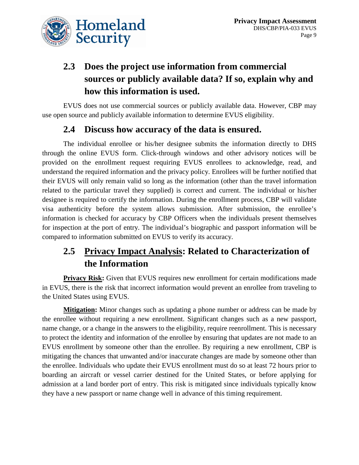

## **2.3 Does the project use information from commercial sources or publicly available data? If so, explain why and how this information is used.**

EVUS does not use commercial sources or publicly available data. However, CBP may use open source and publicly available information to determine EVUS eligibility.

#### **2.4 Discuss how accuracy of the data is ensured.**

The individual enrollee or his/her designee submits the information directly to DHS through the online EVUS form. Click-through windows and other advisory notices will be provided on the enrollment request requiring EVUS enrollees to acknowledge, read, and understand the required information and the privacy policy. Enrollees will be further notified that their EVUS will only remain valid so long as the information (other than the travel information related to the particular travel they supplied) is correct and current. The individual or his/her designee is required to certify the information. During the enrollment process, CBP will validate visa authenticity before the system allows submission. After submission, the enrollee's information is checked for accuracy by CBP Officers when the individuals present themselves for inspection at the port of entry. The individual's biographic and passport information will be compared to information submitted on EVUS to verify its accuracy.

## **2.5 Privacy Impact Analysis: Related to Characterization of the Information**

**Privacy Risk:** Given that EVUS requires new enrollment for certain modifications made in EVUS, there is the risk that incorrect information would prevent an enrollee from traveling to the United States using EVUS.

**Mitigation:** Minor changes such as updating a phone number or address can be made by the enrollee without requiring a new enrollment. Significant changes such as a new passport, name change, or a change in the answers to the eligibility, require reenrollment. This is necessary to protect the identity and information of the enrollee by ensuring that updates are not made to an EVUS enrollment by someone other than the enrollee. By requiring a new enrollment, CBP is mitigating the chances that unwanted and/or inaccurate changes are made by someone other than the enrollee. Individuals who update their EVUS enrollment must do so at least 72 hours prior to boarding an aircraft or vessel carrier destined for the United States, or before applying for admission at a land border port of entry. This risk is mitigated since individuals typically know they have a new passport or name change well in advance of this timing requirement.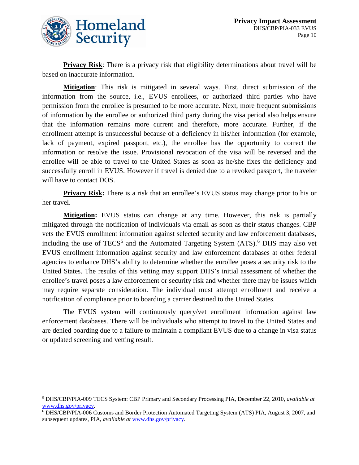

**Privacy Risk:** There is a privacy risk that eligibility determinations about travel will be based on inaccurate information.

**Mitigation**: This risk is mitigated in several ways. First, direct submission of the information from the source, i.e., EVUS enrollees, or authorized third parties who have permission from the enrollee is presumed to be more accurate. Next, more frequent submissions of information by the enrollee or authorized third party during the visa period also helps ensure that the information remains more current and therefore, more accurate. Further, if the enrollment attempt is unsuccessful because of a deficiency in his/her information (for example, lack of payment, expired passport, etc.), the enrollee has the opportunity to correct the information or resolve the issue. Provisional revocation of the visa will be reversed and the enrollee will be able to travel to the United States as soon as he/she fixes the deficiency and successfully enroll in EVUS. However if travel is denied due to a revoked passport, the traveler will have to contact DOS.

**Privacy Risk:** There is a risk that an enrollee's EVUS status may change prior to his or her travel.

**Mitigation:** EVUS status can change at any time. However, this risk is partially mitigated through the notification of individuals via email as soon as their status changes. CBP vets the EVUS enrollment information against selected security and law enforcement databases, including the use of TECS<sup>[5](#page-10-0)</sup> and the Automated Targeting System  $(ATS)$ .<sup>[6](#page-10-1)</sup> DHS may also vet EVUS enrollment information against security and law enforcement databases at other federal agencies to enhance DHS's ability to determine whether the enrollee poses a security risk to the United States. The results of this vetting may support DHS's initial assessment of whether the enrollee's travel poses a law enforcement or security risk and whether there may be issues which may require separate consideration. The individual must attempt enrollment and receive a notification of compliance prior to boarding a carrier destined to the United States.

The EVUS system will continuously query/vet enrollment information against law enforcement databases. There will be individuals who attempt to travel to the United States and are denied boarding due to a failure to maintain a compliant EVUS due to a change in visa status or updated screening and vetting result.

<span id="page-10-0"></span> <sup>5</sup> DHS/CBP/PIA-009 TECS System: CBP Primary and Secondary Processing PIA, December 22, 2010, *available at*  www.dhs.gov/privacy.<br><sup>6</sup> DHS/CBP/PIA-006 Customs and Border Protection Automated Targeting System (ATS) PIA, August 3, 2007, and

<span id="page-10-1"></span>subsequent updates, PIA, *available at* [www.dhs.gov/privacy.](http://www.dhs.gov/privacy)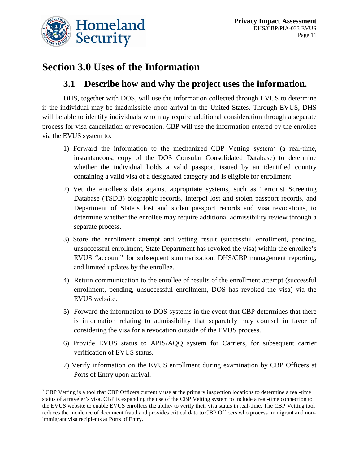

## **Section 3.0 Uses of the Information**

#### **3.1 Describe how and why the project uses the information.**

DHS, together with DOS, will use the information collected through EVUS to determine if the individual may be inadmissible upon arrival in the United States. Through EVUS, DHS will be able to identify individuals who may require additional consideration through a separate process for visa cancellation or revocation. CBP will use the information entered by the enrollee via the EVUS system to:

- 1) Forward the information to the mechanized CBP Vetting system<sup>[7](#page-11-0)</sup> (a real-time, instantaneous, copy of the DOS Consular Consolidated Database) to determine whether the individual holds a valid passport issued by an identified country containing a valid visa of a designated category and is eligible for enrollment.
- 2) Vet the enrollee's data against appropriate systems, such as Terrorist Screening Database (TSDB) biographic records, Interpol lost and stolen passport records, and Department of State's lost and stolen passport records and visa revocations, to determine whether the enrollee may require additional admissibility review through a separate process.
- 3) Store the enrollment attempt and vetting result (successful enrollment, pending, unsuccessful enrollment, State Department has revoked the visa) within the enrollee's EVUS "account" for subsequent summarization, DHS/CBP management reporting, and limited updates by the enrollee.
- 4) Return communication to the enrollee of results of the enrollment attempt (successful enrollment, pending, unsuccessful enrollment, DOS has revoked the visa) via the EVUS website.
- 5) Forward the information to DOS systems in the event that CBP determines that there is information relating to admissibility that separately may counsel in favor of considering the visa for a revocation outside of the EVUS process.
- 6) Provide EVUS status to APIS/AQQ system for Carriers, for subsequent carrier verification of EVUS status.
- 7) Verify information on the EVUS enrollment during examination by CBP Officers at Ports of Entry upon arrival.

<span id="page-11-0"></span><sup>&</sup>lt;sup>7</sup> CBP Vetting is a tool that CBP Officers currently use at the primary inspection locations to determine a real-time status of a traveler's visa. CBP is expanding the use of the CBP Vetting system to include a real-time connection to the EVUS website to enable EVUS enrollees the ability to verify their visa status in real-time. The CBP Vetting tool reduces the incidence of document fraud and provides critical data to CBP Officers who process immigrant and nonimmigrant visa recipients at Ports of Entry.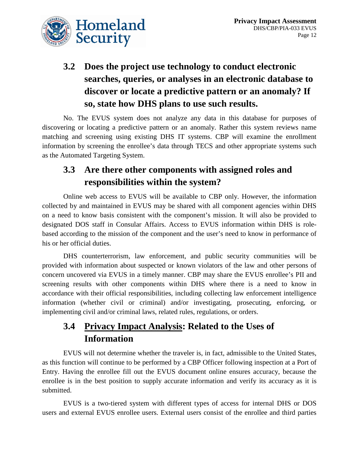

## **3.2 Does the project use technology to conduct electronic searches, queries, or analyses in an electronic database to discover or locate a predictive pattern or an anomaly? If so, state how DHS plans to use such results.**

No. The EVUS system does not analyze any data in this database for purposes of discovering or locating a predictive pattern or an anomaly. Rather this system reviews name matching and screening using existing DHS IT systems. CBP will examine the enrollment information by screening the enrollee's data through TECS and other appropriate systems such as the Automated Targeting System.

#### **3.3 Are there other components with assigned roles and responsibilities within the system?**

Online web access to EVUS will be available to CBP only. However, the information collected by and maintained in EVUS may be shared with all component agencies within DHS on a need to know basis consistent with the component's mission. It will also be provided to designated DOS staff in Consular Affairs. Access to EVUS information within DHS is rolebased according to the mission of the component and the user's need to know in performance of his or her official duties.

DHS counterterrorism, law enforcement, and public security communities will be provided with information about suspected or known violators of the law and other persons of concern uncovered via EVUS in a timely manner. CBP may share the EVUS enrollee's PII and screening results with other components within DHS where there is a need to know in accordance with their official responsibilities, including collecting law enforcement intelligence information (whether civil or criminal) and/or investigating, prosecuting, enforcing, or implementing civil and/or criminal laws, related rules, regulations, or orders.

## **3.4 Privacy Impact Analysis: Related to the Uses of Information**

EVUS will not determine whether the traveler is, in fact, admissible to the United States, as this function will continue to be performed by a CBP Officer following inspection at a Port of Entry. Having the enrollee fill out the EVUS document online ensures accuracy, because the enrollee is in the best position to supply accurate information and verify its accuracy as it is submitted.

EVUS is a two-tiered system with different types of access for internal DHS or DOS users and external EVUS enrollee users. External users consist of the enrollee and third parties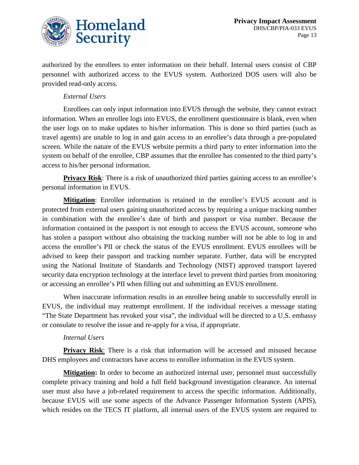

authorized by the enrollees to enter information on their behalf. Internal users consist of CBP personnel with authorized access to the EVUS system. Authorized DOS users will also be provided read-only access.

#### *External Users*

Enrollees can only input information into EVUS through the website, they cannot extract information. When an enrollee logs into EVUS, the enrollment questionnaire is blank, even when the user logs on to make updates to his/her information. This is done so third parties (such as travel agents) are unable to log in and gain access to an enrollee's data through a pre-populated screen. While the nature of the EVUS website permits a third party to enter information into the system on behalf of the enrollee, CBP assumes that the enrollee has consented to the third party's access to his/her personal information.

**Privacy Risk:** There is a risk of unauthorized third parties gaining access to an enrollee's personal information in EVUS.

**Mitigation**: Enrollee information is retained in the enrollee's EVUS account and is protected from external users gaining unauthorized access by requiring a unique tracking number in combination with the enrollee's date of birth and passport or visa number. Because the information contained in the passport is not enough to access the EVUS account, someone who has stolen a passport without also obtaining the tracking number will not be able to log in and access the enrollee's PII or check the status of the EVUS enrollment. EVUS enrollees will be advised to keep their passport and tracking number separate. Further, data will be encrypted using the National Institute of Standards and Technology (NIST) approved transport layered security data encryption technology at the interface level to prevent third parties from monitoring or accessing an enrollee's PII when filling out and submitting an EVUS enrollment.

When inaccurate information results in an enrollee being unable to successfully enroll in EVUS, the individual may reattempt enrollment. If the individual receives a message stating "The State Department has revoked your visa", the individual will be directed to a U.S. embassy or consulate to resolve the issue and re-apply for a visa, if appropriate.

#### *Internal Users*

**Privacy Risk**: There is a risk that information will be accessed and misused because DHS employees and contractors have access to enrollee information in the EVUS system.

**Mitigation:** In order to become an authorized internal user, personnel must successfully complete privacy training and hold a full field background investigation clearance. An internal user must also have a job-related requirement to access the specific information. Additionally, because EVUS will use some aspects of the Advance Passenger Information System (APIS), which resides on the TECS IT platform, all internal users of the EVUS system are required to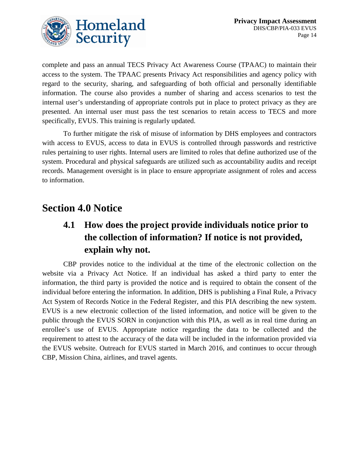

complete and pass an annual TECS Privacy Act Awareness Course (TPAAC) to maintain their access to the system. The TPAAC presents Privacy Act responsibilities and agency policy with regard to the security, sharing, and safeguarding of both official and personally identifiable information. The course also provides a number of sharing and access scenarios to test the internal user's understanding of appropriate controls put in place to protect privacy as they are presented. An internal user must pass the test scenarios to retain access to TECS and more specifically, EVUS. This training is regularly updated.

To further mitigate the risk of misuse of information by DHS employees and contractors with access to EVUS, access to data in EVUS is controlled through passwords and restrictive rules pertaining to user rights. Internal users are limited to roles that define authorized use of the system. Procedural and physical safeguards are utilized such as accountability audits and receipt records. Management oversight is in place to ensure appropriate assignment of roles and access to information.

## **Section 4.0 Notice**

## **4.1 How does the project provide individuals notice prior to the collection of information? If notice is not provided, explain why not.**

CBP provides notice to the individual at the time of the electronic collection on the website via a Privacy Act Notice. If an individual has asked a third party to enter the information, the third party is provided the notice and is required to obtain the consent of the individual before entering the information. In addition, DHS is publishing a Final Rule, a Privacy Act System of Records Notice in the Federal Register, and this PIA describing the new system. EVUS is a new electronic collection of the listed information, and notice will be given to the public through the EVUS SORN in conjunction with this PIA, as well as in real time during an enrollee's use of EVUS. Appropriate notice regarding the data to be collected and the requirement to attest to the accuracy of the data will be included in the information provided via the EVUS website. Outreach for EVUS started in March 2016, and continues to occur through CBP, Mission China, airlines, and travel agents.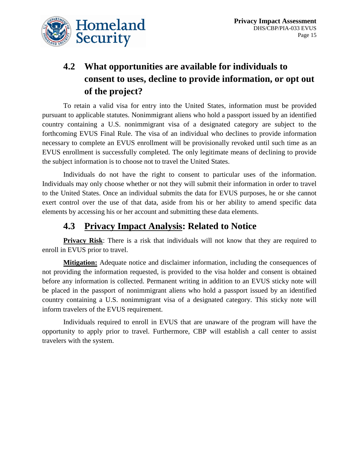



## **4.2 What opportunities are available for individuals to consent to uses, decline to provide information, or opt out of the project?**

To retain a valid visa for entry into the United States, information must be provided pursuant to applicable statutes. Nonimmigrant aliens who hold a passport issued by an identified country containing a U.S. nonimmigrant visa of a designated category are subject to the forthcoming EVUS Final Rule. The visa of an individual who declines to provide information necessary to complete an EVUS enrollment will be provisionally revoked until such time as an EVUS enrollment is successfully completed. The only legitimate means of declining to provide the subject information is to choose not to travel the United States.

Individuals do not have the right to consent to particular uses of the information. Individuals may only choose whether or not they will submit their information in order to travel to the United States. Once an individual submits the data for EVUS purposes, he or she cannot exert control over the use of that data, aside from his or her ability to amend specific data elements by accessing his or her account and submitting these data elements.

#### **4.3 Privacy Impact Analysis: Related to Notice**

**Privacy Risk:** There is a risk that individuals will not know that they are required to enroll in EVUS prior to travel.

**Mitigation:** Adequate notice and disclaimer information, including the consequences of not providing the information requested, is provided to the visa holder and consent is obtained before any information is collected. Permanent writing in addition to an EVUS sticky note will be placed in the passport of nonimmigrant aliens who hold a passport issued by an identified country containing a U.S. nonimmigrant visa of a designated category. This sticky note will inform travelers of the EVUS requirement.

Individuals required to enroll in EVUS that are unaware of the program will have the opportunity to apply prior to travel. Furthermore, CBP will establish a call center to assist travelers with the system.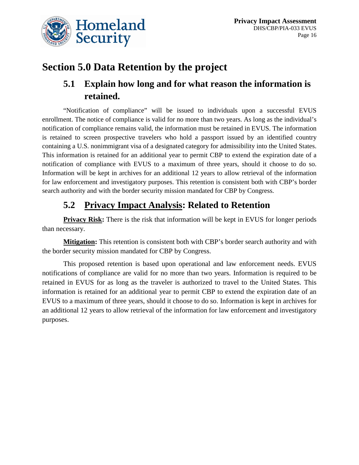

## **Section 5.0 Data Retention by the project**

#### **5.1 Explain how long and for what reason the information is retained.**

"Notification of compliance" will be issued to individuals upon a successful EVUS enrollment. The notice of compliance is valid for no more than two years. As long as the individual's notification of compliance remains valid, the information must be retained in EVUS. The information is retained to screen prospective travelers who hold a passport issued by an identified country containing a U.S. nonimmigrant visa of a designated category for admissibility into the United States. This information is retained for an additional year to permit CBP to extend the expiration date of a notification of compliance with EVUS to a maximum of three years, should it choose to do so. Information will be kept in archives for an additional 12 years to allow retrieval of the information for law enforcement and investigatory purposes. This retention is consistent both with CBP's border search authority and with the border security mission mandated for CBP by Congress.

#### **5.2 Privacy Impact Analysis: Related to Retention**

**Privacy Risk:** There is the risk that information will be kept in EVUS for longer periods than necessary.

**Mitigation:** This retention is consistent both with CBP's border search authority and with the border security mission mandated for CBP by Congress.

This proposed retention is based upon operational and law enforcement needs. EVUS notifications of compliance are valid for no more than two years. Information is required to be retained in EVUS for as long as the traveler is authorized to travel to the United States. This information is retained for an additional year to permit CBP to extend the expiration date of an EVUS to a maximum of three years, should it choose to do so. Information is kept in archives for an additional 12 years to allow retrieval of the information for law enforcement and investigatory purposes.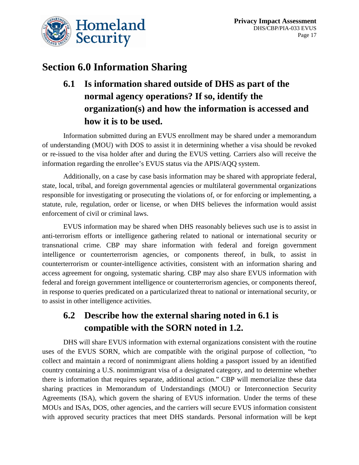

## **Section 6.0 Information Sharing**

## **6.1 Is information shared outside of DHS as part of the normal agency operations? If so, identify the organization(s) and how the information is accessed and how it is to be used.**

Information submitted during an EVUS enrollment may be shared under a memorandum of understanding (MOU) with DOS to assist it in determining whether a visa should be revoked or re-issued to the visa holder after and during the EVUS vetting. Carriers also will receive the information regarding the enrollee's EVUS status via the APIS/AQQ system.

Additionally, on a case by case basis information may be shared with appropriate federal, state, local, tribal, and foreign governmental agencies or multilateral governmental organizations responsible for investigating or prosecuting the violations of, or for enforcing or implementing, a statute, rule, regulation, order or license, or when DHS believes the information would assist enforcement of civil or criminal laws.

EVUS information may be shared when DHS reasonably believes such use is to assist in anti-terrorism efforts or intelligence gathering related to national or international security or transnational crime. CBP may share information with federal and foreign government intelligence or counterterrorism agencies, or components thereof, in bulk, to assist in counterterrorism or counter-intelligence activities, consistent with an information sharing and access agreement for ongoing, systematic sharing. CBP may also share EVUS information with federal and foreign government intelligence or counterterrorism agencies, or components thereof, in response to queries predicated on a particularized threat to national or international security, or to assist in other intelligence activities.

## **6.2 Describe how the external sharing noted in 6.1 is compatible with the SORN noted in 1.2.**

DHS will share EVUS information with external organizations consistent with the routine uses of the EVUS SORN, which are compatible with the original purpose of collection, "to collect and maintain a record of nonimmigrant aliens holding a passport issued by an identified country containing a U.S. nonimmigrant visa of a designated category, and to determine whether there is information that requires separate, additional action." CBP will memorialize these data sharing practices in Memorandum of Understandings (MOU) or Interconnection Security Agreements (ISA), which govern the sharing of EVUS information. Under the terms of these MOUs and ISAs, DOS, other agencies, and the carriers will secure EVUS information consistent with approved security practices that meet DHS standards. Personal information will be kept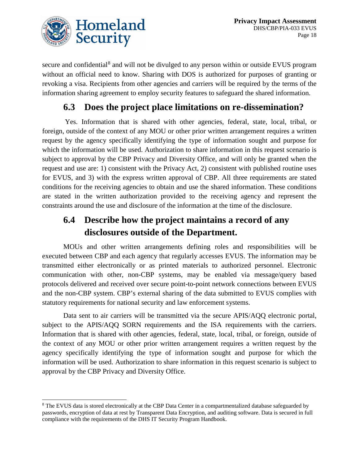

secure and confidential<sup>[8](#page-18-0)</sup> and will not be divulged to any person within or outside EVUS program without an official need to know. Sharing with DOS is authorized for purposes of granting or revoking a visa. Recipients from other agencies and carriers will be required by the terms of the information sharing agreement to employ security features to safeguard the shared information.

#### **6.3 Does the project place limitations on re-dissemination?**

Yes. Information that is shared with other agencies, federal, state, local, tribal, or foreign, outside of the context of any MOU or other prior written arrangement requires a written request by the agency specifically identifying the type of information sought and purpose for which the information will be used. Authorization to share information in this request scenario is subject to approval by the CBP Privacy and Diversity Office, and will only be granted when the request and use are: 1) consistent with the Privacy Act, 2) consistent with published routine uses for EVUS, and 3) with the express written approval of CBP. All three requirements are stated conditions for the receiving agencies to obtain and use the shared information. These conditions are stated in the written authorization provided to the receiving agency and represent the constraints around the use and disclosure of the information at the time of the disclosure.

#### **6.4 Describe how the project maintains a record of any disclosures outside of the Department.**

MOUs and other written arrangements defining roles and responsibilities will be executed between CBP and each agency that regularly accesses EVUS. The information may be transmitted either electronically or as printed materials to authorized personnel. Electronic communication with other, non-CBP systems, may be enabled via message/query based protocols delivered and received over secure point-to-point network connections between EVUS and the non-CBP system. CBP's external sharing of the data submitted to EVUS complies with statutory requirements for national security and law enforcement systems.

Data sent to air carriers will be transmitted via the secure APIS/AQQ electronic portal, subject to the APIS/AQQ SORN requirements and the ISA requirements with the carriers. Information that is shared with other agencies, federal, state, local, tribal, or foreign, outside of the context of any MOU or other prior written arrangement requires a written request by the agency specifically identifying the type of information sought and purpose for which the information will be used. Authorization to share information in this request scenario is subject to approval by the CBP Privacy and Diversity Office.

<span id="page-18-0"></span> <sup>8</sup> The EVUS data is stored electronically at the CBP Data Center in a compartmentalized database safeguarded by passwords, encryption of data at rest by Transparent Data Encryption, and auditing software. Data is secured in full compliance with the requirements of the DHS IT Security Program Handbook.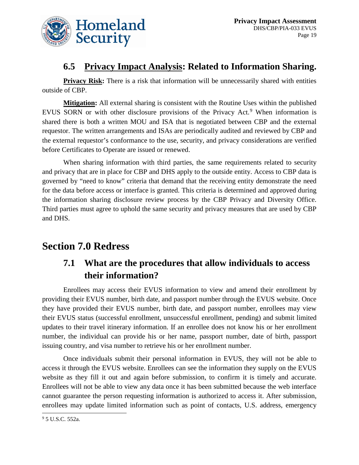

#### **6.5 Privacy Impact Analysis: Related to Information Sharing.**

**Privacy Risk:** There is a risk that information will be unnecessarily shared with entities outside of CBP.

**Mitigation:** All external sharing is consistent with the Routine Uses within the published EVUS SORN or with other disclosure provisions of the Privacy Act.<sup>[9](#page-19-0)</sup> When information is shared there is both a written MOU and ISA that is negotiated between CBP and the external requestor. The written arrangements and ISAs are periodically audited and reviewed by CBP and the external requestor's conformance to the use, security, and privacy considerations are verified before Certificates to Operate are issued or renewed.

When sharing information with third parties, the same requirements related to security and privacy that are in place for CBP and DHS apply to the outside entity. Access to CBP data is governed by "need to know" criteria that demand that the receiving entity demonstrate the need for the data before access or interface is granted. This criteria is determined and approved during the information sharing disclosure review process by the CBP Privacy and Diversity Office. Third parties must agree to uphold the same security and privacy measures that are used by CBP and DHS.

## **Section 7.0 Redress**

## **7.1 What are the procedures that allow individuals to access their information?**

Enrollees may access their EVUS information to view and amend their enrollment by providing their EVUS number, birth date, and passport number through the EVUS website. Once they have provided their EVUS number, birth date, and passport number, enrollees may view their EVUS status (successful enrollment, unsuccessful enrollment, pending) and submit limited updates to their travel itinerary information. If an enrollee does not know his or her enrollment number, the individual can provide his or her name, passport number, date of birth, passport issuing country, and visa number to retrieve his or her enrollment number.

Once individuals submit their personal information in EVUS, they will not be able to access it through the EVUS website. Enrollees can see the information they supply on the EVUS website as they fill it out and again before submission, to confirm it is timely and accurate. Enrollees will not be able to view any data once it has been submitted because the web interface cannot guarantee the person requesting information is authorized to access it. After submission, enrollees may update limited information such as point of contacts, U.S. address, emergency  $\frac{95 \text{ U.S.C. } 552 \text{a}}{95 \text{ U.S.C. } 552 \text{a}}$ 

<span id="page-19-0"></span>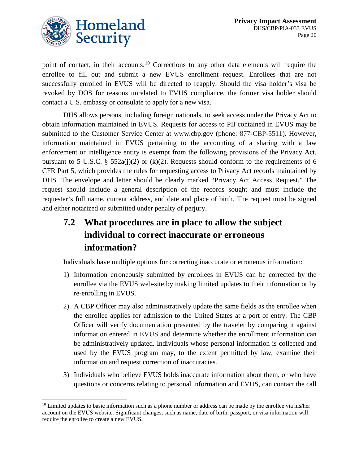

point of contact, in their accounts.<sup>[10](#page-20-0)</sup> Corrections to any other data elements will require the enrollee to fill out and submit a new EVUS enrollment request. Enrollees that are not successfully enrolled in EVUS will be directed to reapply. Should the visa holder's visa be revoked by DOS for reasons unrelated to EVUS compliance, the former visa holder should contact a U.S. embassy or consulate to apply for a new visa.

DHS allows persons, including foreign nationals, to seek access under the Privacy Act to obtain information maintained in EVUS. Requests for access to PII contained in EVUS may be submitted to the Customer Service Center at www.cbp.gov (phone: 877-CBP-5511). However, information maintained in EVUS pertaining to the accounting of a sharing with a law enforcement or intelligence entity is exempt from the following provisions of the Privacy Act, pursuant to 5 U.S.C. § 552a(j)(2) or (k)(2). Requests should conform to the requirements of 6 CFR Part 5, which provides the rules for requesting access to Privacy Act records maintained by DHS. The envelope and letter should be clearly marked "Privacy Act Access Request." The request should include a general description of the records sought and must include the requester's full name, current address, and date and place of birth. The request must be signed and either notarized or submitted under penalty of perjury.

## **7.2 What procedures are in place to allow the subject individual to correct inaccurate or erroneous information?**

Individuals have multiple options for correcting inaccurate or erroneous information:

- 1) Information erroneously submitted by enrollees in EVUS can be corrected by the enrollee via the EVUS web-site by making limited updates to their information or by re-enrolling in EVUS.
- 2) A CBP Officer may also administratively update the same fields as the enrollee when the enrollee applies for admission to the United States at a port of entry. The CBP Officer will verify documentation presented by the traveler by comparing it against information entered in EVUS and determine whether the enrollment information can be administratively updated. Individuals whose personal information is collected and used by the EVUS program may, to the extent permitted by law, examine their information and request correction of inaccuracies.
- 3) Individuals who believe EVUS holds inaccurate information about them, or who have questions or concerns relating to personal information and EVUS, can contact the call

<span id="page-20-0"></span> $10$  Limited updates to basic information such as a phone number or address can be made by the enrollee via his/her account on the EVUS website. Significant changes, such as name, date of birth, passport, or visa information will require the enrollee to create a new EVUS.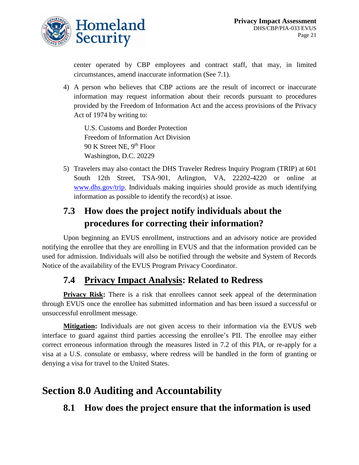

center operated by CBP employees and contract staff, that may, in limited circumstances, amend inaccurate information (See 7.1).

4) A person who believes that CBP actions are the result of incorrect or inaccurate information may request information about their records pursuant to procedures provided by the Freedom of Information Act and the access provisions of the Privacy Act of 1974 by writing to:

U.S. Customs and Border Protection Freedom of Information Act Division 90 K Street NE, 9th Floor Washington, D.C. 20229

5) Travelers may also contact the DHS Traveler Redress Inquiry Program (TRIP) at 601 South 12th Street, TSA-901, Arlington, VA, 22202-4220 or online at [www.dhs.gov/trip.](http://www.dhs.gov/trip) Individuals making inquiries should provide as much identifying information as possible to identify the record(s) at issue.

## **7.3 How does the project notify individuals about the procedures for correcting their information?**

Upon beginning an EVUS enrollment, instructions and an advisory notice are provided notifying the enrollee that they are enrolling in EVUS and that the information provided can be used for admission. Individuals will also be notified through the website and System of Records Notice of the availability of the EVUS Program Privacy Coordinator.

#### **7.4 Privacy Impact Analysis: Related to Redress**

**Privacy Risk:** There is a risk that enrollees cannot seek appeal of the determination through EVUS once the enrollee has submitted information and has been issued a successful or unsuccessful enrollment message.

**Mitigation:** Individuals are not given access to their information via the EVUS web interface to guard against third parties accessing the enrollee's PII. The enrollee may either correct erroneous information through the measures listed in 7.2 of this PIA, or re-apply for a visa at a U.S. consulate or embassy, where redress will be handled in the form of granting or denying a visa for travel to the United States.

## **Section 8.0 Auditing and Accountability**

#### **8.1 How does the project ensure that the information is used**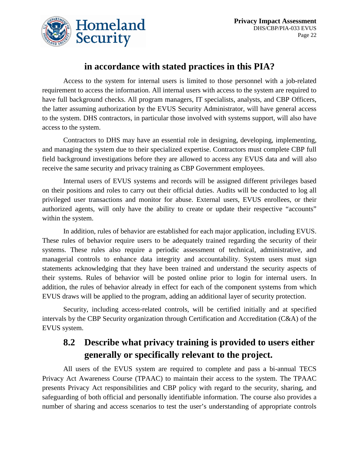

#### **in accordance with stated practices in this PIA?**

Access to the system for internal users is limited to those personnel with a job-related requirement to access the information. All internal users with access to the system are required to have full background checks. All program managers, IT specialists, analysts, and CBP Officers, the latter assuming authorization by the EVUS Security Administrator, will have general access to the system. DHS contractors, in particular those involved with systems support, will also have access to the system.

Contractors to DHS may have an essential role in designing, developing, implementing, and managing the system due to their specialized expertise. Contractors must complete CBP full field background investigations before they are allowed to access any EVUS data and will also receive the same security and privacy training as CBP Government employees.

Internal users of EVUS systems and records will be assigned different privileges based on their positions and roles to carry out their official duties. Audits will be conducted to log all privileged user transactions and monitor for abuse. External users, EVUS enrollees, or their authorized agents, will only have the ability to create or update their respective "accounts" within the system.

In addition, rules of behavior are established for each major application, including EVUS. These rules of behavior require users to be adequately trained regarding the security of their systems. These rules also require a periodic assessment of technical, administrative, and managerial controls to enhance data integrity and accountability. System users must sign statements acknowledging that they have been trained and understand the security aspects of their systems. Rules of behavior will be posted online prior to login for internal users. In addition, the rules of behavior already in effect for each of the component systems from which EVUS draws will be applied to the program, adding an additional layer of security protection.

Security, including access-related controls, will be certified initially and at specified intervals by the CBP Security organization through Certification and Accreditation (C&A) of the EVUS system.

#### **8.2 Describe what privacy training is provided to users either generally or specifically relevant to the project.**

All users of the EVUS system are required to complete and pass a bi-annual TECS Privacy Act Awareness Course (TPAAC) to maintain their access to the system. The TPAAC presents Privacy Act responsibilities and CBP policy with regard to the security, sharing, and safeguarding of both official and personally identifiable information. The course also provides a number of sharing and access scenarios to test the user's understanding of appropriate controls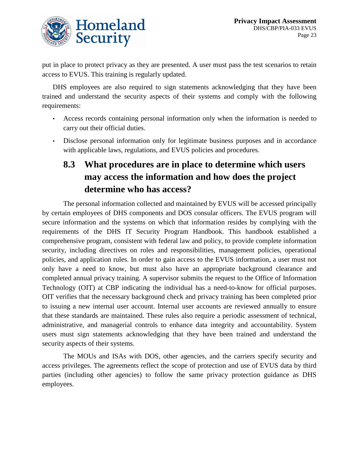

put in place to protect privacy as they are presented. A user must pass the test scenarios to retain access to EVUS. This training is regularly updated.

DHS employees are also required to sign statements acknowledging that they have been trained and understand the security aspects of their systems and comply with the following requirements:

- Access records containing personal information only when the information is needed to carry out their official duties.
- Disclose personal information only for legitimate business purposes and in accordance with applicable laws, regulations, and EVUS policies and procedures.

## **8.3 What procedures are in place to determine which users may access the information and how does the project determine who has access?**

The personal information collected and maintained by EVUS will be accessed principally by certain employees of DHS components and DOS consular officers. The EVUS program will secure information and the systems on which that information resides by complying with the requirements of the DHS IT Security Program Handbook. This handbook established a comprehensive program, consistent with federal law and policy, to provide complete information security, including directives on roles and responsibilities, management policies, operational policies, and application rules. In order to gain access to the EVUS information, a user must not only have a need to know, but must also have an appropriate background clearance and completed annual privacy training. A supervisor submits the request to the Office of Information Technology (OIT) at CBP indicating the individual has a need-to-know for official purposes. OIT verifies that the necessary background check and privacy training has been completed prior to issuing a new internal user account. Internal user accounts are reviewed annually to ensure that these standards are maintained. These rules also require a periodic assessment of technical, administrative, and managerial controls to enhance data integrity and accountability. System users must sign statements acknowledging that they have been trained and understand the security aspects of their systems.

The MOUs and ISAs with DOS, other agencies, and the carriers specify security and access privileges. The agreements reflect the scope of protection and use of EVUS data by third parties (including other agencies) to follow the same privacy protection guidance as DHS employees.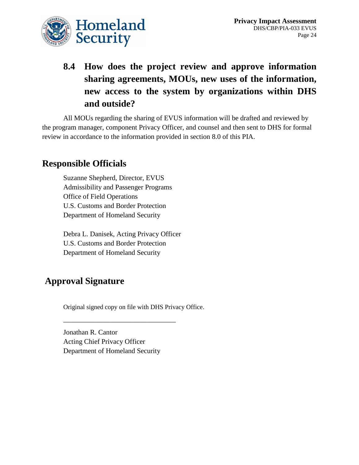

## **8.4 How does the project review and approve information sharing agreements, MOUs, new uses of the information, new access to the system by organizations within DHS and outside?**

All MOUs regarding the sharing of EVUS information will be drafted and reviewed by the program manager, component Privacy Officer, and counsel and then sent to DHS for formal review in accordance to the information provided in section 8.0 of this PIA.

#### **Responsible Officials**

Suzanne Shepherd, Director, EVUS Admissibility and Passenger Programs Office of Field Operations U.S. Customs and Border Protection Department of Homeland Security

Debra L. Danisek, Acting Privacy Officer U.S. Customs and Border Protection Department of Homeland Security

#### **Approval Signature**

Original signed copy on file with DHS Privacy Office.

Jonathan R. Cantor Acting Chief Privacy Officer Department of Homeland Security

\_\_\_\_\_\_\_\_\_\_\_\_\_\_\_\_\_\_\_\_\_\_\_\_\_\_\_\_\_\_\_\_